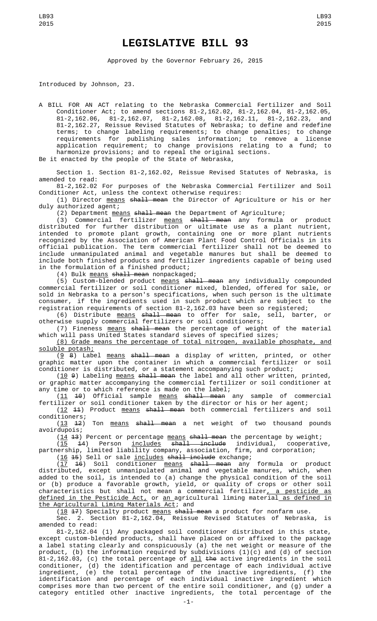## **LEGISLATIVE BILL 93**

Approved by the Governor February 26, 2015

Introduced by Johnson, 23.

A BILL FOR AN ACT relating to the Nebraska Commercial Fertilizer and Soil Conditioner Act; to amend sections 81-2,162.02, 81-2,162.04, 81-2,162.05, 81-2,162.06, 81-2,162.07, 81-2,162.08, 81-2,162.11, 81-2,162.23, and 81-2,162.27, Reissue Revised Statutes of Nebraska; to define and redefine terms; to change labeling requirements; to change penalties; to change requirements for publishing sales information; to remove a license application requirement; to change provisions relating to a fund; to harmonize provisions; and to repeal the original sections. Be it enacted by the people of the State of Nebraska,

Section 1. Section 81-2,162.02, Reissue Revised Statutes of Nebraska, is

amended to read: 81-2,162.02 For purposes of the Nebraska Commercial Fertilizer and Soil Conditioner Act, unless the context otherwise requires:

(1) Director means shall mean the Director of Agriculture or his or her duly authorized agent;

(2) Department means shall mean the Department of Agriculture;

(3) Commercial fertilizer means shall mean any formula or product distributed for further distribution or ultimate use as a plant nutrient, intended to promote plant growth, containing one or more plant nutrients recognized by the Association of American Plant Food Control Officials in its official publication. The term commercial fertilizer shall not be deemed to include unmanipulated animal and vegetable manures but shall be deemed to include both finished products and fertilizer ingredients capable of being used in the formulation of a finished product;

(4) Bulk means shall mean nonpackaged;

(5) Custom-blended product means shall mean any individually compounded commercial fertilizer or soil conditioner mixed, blended, offered for sale, or sold in Nebraska to a person's specifications, when such person is the ultimate consumer, if the ingredients used in such product which are subject to the registration requirements of section 81-2,162.03 have been so registered;

(6) Distribute means shall mean to offer for sale, sell, barter, or otherwise supply commercial fertilizers or soil conditioners;

(7) Fineness means shall mean the percentage of weight of the material which will pass United States standard sieves of specified sizes;

(8) Grade means the percentage of total nitrogen, available phosphate, and soluble potash;

(<u>9</u> 8) Label <u>means</u> <del>shall mean</del> a display of written, printed, or other graphic matter upon the container in which a commercial fertilizer or soil conditioner is distributed, or a statement accompanying such product;

(10 9) Labeling means shall mean the label and all other written, printed, or graphic matter accompanying the commercial fertilizer or soil conditioner at any time or to which reference is made on the label;

(<u>11</u> <del>10</del>) Official sample <u>means</u> <del>shall mean</del> any sample of commercial fertilizer or soil conditioner taken by the director or his or her agent; (12 11) Product means shall mean both commercial fertilizers and soil

conditioners;

(13 12) Ton means shall mean a net weight of two thousand pounds avoirdupois;

 $(14 13)$  Percent or percentage means shall mean the percentage by weight; (<u>15</u> <del>1</del>4) Person <u>includes</u> <del>shall include</del> individual, cooperative, partnership, limited liability company, association, firm, and corporation;

(<u>16</u> <del>15</del>) Sell or sale <u>includes</u> shall include exchange;

(<u>17</u> <del>16</del>) Soil conditioner <u>means</u> <del>shall mean</del> any formula or product distributed, except unmanipulated animal and vegetable manures, which, when added to the soil, is intended to (a) change the physical condition of the soil or (b) produce a favorable growth, yield, or quality of crops or other soil characteristics but shall not mean a commercial fertilizer, a pesticide as defined in the Pesticide Act, or an agricultural liming material as defined in the Agricultural Liming Materials Act; and

 $(18 \t47)$  Specialty product <u>means</u> shall mean a product for nonfarm use.

Sec. 2. Section 81-2,162.04, Reissue Revised Statutes of Nebraska, is amended to read:

81-2,162.04 (1) Any packaged soil conditioner distributed in this state, except custom-blended products, shall have placed on or affixed to the package a label stating clearly and conspicuously (a) the net weight or measure of the product, (b) the information required by subdivisions (1)(c) and (d) of section 81-2,162.03, (c) the total percentage of <u>all</u> <del>the</del> active ingredients in the soil conditioner, (d) the identification and percentage of each individual active ingredient, (e) the total percentage of the inactive ingredients, (f) the identification and percentage of each individual inactive ingredient which comprises more than two percent of the entire soil conditioner, and (g) under a category entitled other inactive ingredients, the total percentage of the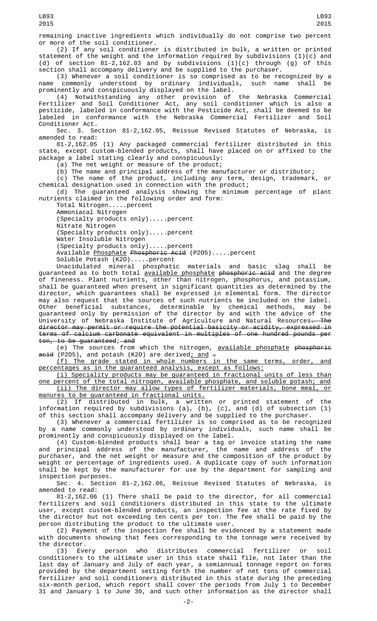remaining inactive ingredients which individually do not comprise two percent or more of the soil conditioner.

(2) If any soil conditioner is distributed in bulk, a written or printed statement of the weight and the information required by subdivisions  $(1)(c)$  and (d) of section 81-2,162.03 and by subdivisions (1)(c) through (g) of this section shall accompany delivery and be supplied to the purchaser.

(3) Whenever a soil conditioner is so comprised as to be recognized by a commonly understood by ordinary individuals, such name shall be name commonly understood by ordinary individuals, such name shall be prominently and conspicuously displayed on the label.

(4) Notwithstanding any other provision of the Nebraska Commercial Fertilizer and Soil Conditioner Act, any soil conditioner which is also a pesticide, labeled in conformance with the Pesticide Act, shall be deemed to be labeled in conformance with the Nebraska Commercial Fertilizer and Soil Conditioner Act.

Sec. 3. Section 81-2,162.05, Reissue Revised Statutes of Nebraska, amended to read:

81-2,162.05 (1) Any packaged commercial fertilizer distributed in this state, except custom-blended products, shall have placed on or affixed to the package a label stating clearly and conspicuously:

(a) The net weight or measure of the product;

(b) The name and principal address of the manufacturer or distributor;

(c) The name of the product, including any term, design, trademark, or chemical designation used in connection with the product;

(d) The guaranteed analysis showing the minimum percentage of plant nutrients claimed in the following order and form:

Total Nitrogen.....percent

Ammoniacal Nitrogen (Specialty products only).....percent

Nitrate Nitrogen

(Specialty products only).....percent

Water Insoluble Nitrogen

(Specialty products only).....percent

Available Phosphate Phosphoric Acid (P2O5).....percent

Soluble Potash (K2O).....percent

Unacidulated mineral phosphatic materials and basic slag shall be guaranteed as to both total <u>available phosphate</u> <del>phosphoric acid</del> and the degree of fineness. Plant nutrients, other than nitrogen, phosphorus, and potassium, shall be guaranteed when present in significant quantities as determined by the director, which guarantees shall be expressed in elemental form. The director may also request that the sources of such nutrients be included on the label. Other beneficial substances, determinable by chemical methods, may be guaranteed only by permission of the director by and with the advice of the University of Nebraska Institute of Agriculture and Natural Resources<del>. The</del> director may permit or require the potential basicity or acidity, expressed in terms of calcium carbonate equivalent in multiples of one hundred pounds per ton, to be guaranteed; and

(e) The sources from which the nitrogen, available phosphate phosphorie acid (P2O5), and potash (K2O) are derived; and -

(f) The grade stated in whole numbers in the same terms, order, and percentages as in the guaranteed analysis, except as follows:

(i) Speciality products may be guaranteed in fractional units of less than one percent of the total nitrogen, available phosphate, and soluble potash; and (ii) The director may allow types of fertilizer materials, bone meal, or manures to be guaranteed in fractional units.

(2) If distributed in bulk, a written or printed statement of the information required by subdivisions (a), (b), (c), and (d) of subsection (1) of this section shall accompany delivery and be supplied to the purchaser.

(3) Whenever a commercial fertilizer is so comprised as to be recognized by a name commonly understood by ordinary individuals, such name shall be prominently and conspicuously displayed on the label.

(4) Custom-blended products shall bear a tag or invoice stating the name and principal address of the manufacturer, the name and address of the purchaser, and the net weight or measure and the composition of the product by weight or percentage of ingredients used. A duplicate copy of such information shall be kept by the manufacturer for use by the department for sampling and inspection purposes.

Sec. 4. Section 81-2,162.06, Reissue Revised Statutes of Nebraska, is amended to read:

81-2,162.06 (1) There shall be paid to the director, for all commercial fertilizers and soil conditioners distributed in this state to the ultimate user, except custom-blended products, an inspection fee at the rate fixed by the director but not exceeding ten cents per ton. The fee shall be paid by the person distributing the product to the ultimate user.

(2) Payment of the inspection fee shall be evidenced by a statement made with documents showing that fees corresponding to the tonnage were received by the director.

(3) Every person who distributes commercial fertilizer or soil conditioners to the ultimate user in this state shall file, not later than the last day of January and July of each year, a semiannual tonnage report on forms provided by the department setting forth the number of net tons of commercial fertilizer and soil conditioners distributed in this state during the preceding six-month period, which report shall cover the periods from July 1 to December 31 and January 1 to June 30, and such other information as the director shall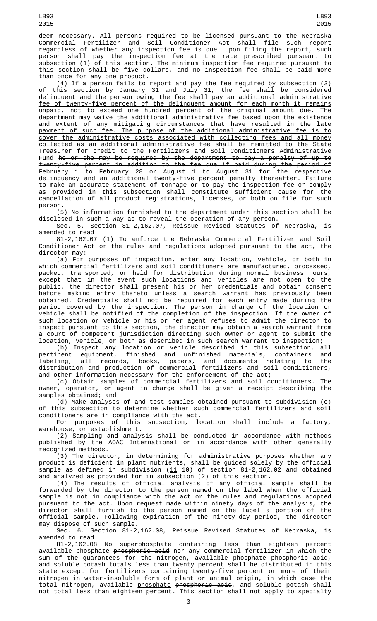deem necessary. All persons required to be licensed pursuant to the Nebraska Commercial Fertilizer and Soil Conditioner Act shall file such report regardless of whether any inspection fee is due. Upon filing the report, such person shall pay the inspection fee at the rate prescribed pursuant to subsection (1) of this section. The minimum inspection fee required pursuant to this section shall be five dollars, and no inspection fee shall be paid more than once for any one product.

(4) If a person fails to report and pay the fee required by subsection (3) of this section by January 31 and July 31, <u>the fee shall be considered</u> delinquent and the person owing the fee shall pay an additional administrative fee of twenty-five percent of the delinquent amount for each month it remains unpaid, not to exceed one hundred percent of the original amount due. The department may waive the additional administrative fee based upon the existence and extent of any mitigating circumstances that have resulted in the late payment of such fee. The purpose of the additional administrative fee is to cover the administrative costs associated with collecting fees and all money collected as an additional administrative fee shall be remitted to the State Treasurer for credit to the Fertilizers and Soil Conditioners Administrative Fund he or she may be required by the department to pay a penalty of up to twenty-five percent in addition to the fee due if paid during the period of February 1 to February 28 or August 1 to August 31 for the respective delinquency and an additional twenty-five percent penalty thereafter. Failure to make an accurate statement of tonnage or to pay the inspection fee or comply as provided in this subsection shall constitute sufficient cause for the cancellation of all product registrations, licenses, or both on file for such person.

(5) No information furnished to the department under this section shall be disclosed in such a way as to reveal the operation of any person.

Sec. 5. Section 81-2,162.07, Reissue Revised Statutes of Nebraska, is amended to read:

81-2,162.07 (1) To enforce the Nebraska Commercial Fertilizer and Soil Conditioner Act or the rules and regulations adopted pursuant to the act, the director may:

(a) For purposes of inspection, enter any location, vehicle, or both in which commercial fertilizers and soil conditioners are manufactured, processed, packed, transported, or held for distribution during normal business hours, except that in the event such locations and vehicles are not open to the public, the director shall present his or her credentials and obtain consent before making entry thereto unless a search warrant has previously been obtained. Credentials shall not be required for each entry made during the period covered by the inspection. The person in charge of the location or vehicle shall be notified of the completion of the inspection. If the owner of such location or vehicle or his or her agent refuses to admit the director to inspect pursuant to this section, the director may obtain a search warrant from a court of competent jurisdiction directing such owner or agent to submit the location, vehicle, or both as described in such search warrant to inspection;

(b) Inspect any location or vehicle described in this subsection, all pertinent equipment, finished and unfinished materials, containers and labeling, all records, books, papers, and documents relating to the distribution and production of commercial fertilizers and soil conditioners, and other information necessary for the enforcement of the act;

(c) Obtain samples of commercial fertilizers and soil conditioners. The owner, operator, or agent in charge shall be given a receipt describing the samples obtained; and

(d) Make analyses of and test samples obtained pursuant to subdivision (c) of this subsection to determine whether such commercial fertilizers and soil conditioners are in compliance with the act.

For purposes of this subsection, location shall include a factory, warehouse, or establishment.

(2) Sampling and analysis shall be conducted in accordance with methods published by the AOAC International or in accordance with other generally recognized methods.

(3) The director, in determining for administrative purposes whether any product is deficient in plant nutrients, shall be guided solely by the official sample as defined in subdivision ( $\underline{11}$   $\textbf{40)}$  of section 81-2,162.02 and obtained and analyzed as provided for in subsection (2) of this section.

(4) The results of official analysis of any official sample shall be forwarded by the director to the person named on the label when the official sample is not in compliance with the act or the rules and regulations adopted pursuant to the act. Upon request made within ninety days of the analysis, the director shall furnish to the person named on the label a portion of the official sample. Following expiration of the ninety-day period, the director may dispose of such sample.

Sec. 6. Section 81-2,162.08, Reissue Revised Statutes of Nebraska, is amended to read:<br>81-2,162.08

No superphosphate containing less than eighteen percent available <u>phosphate</u> <del>phosphoric acid</del> nor any commercial fertilizer in which the sum of the guarantees for the nitrogen, available <u>phosphate</u> <del>phosphoric acid</del>, and soluble potash totals less than twenty percent shall be distributed in this state except for fertilizers containing twenty-five percent or more of their nitrogen in water-insoluble form of plant or animal origin, in which case the total nitrogen, available <u>phosphate</u> <del>phosphoric acid</del>, and soluble potash shall not total less than eighteen percent. This section shall not apply to specialty